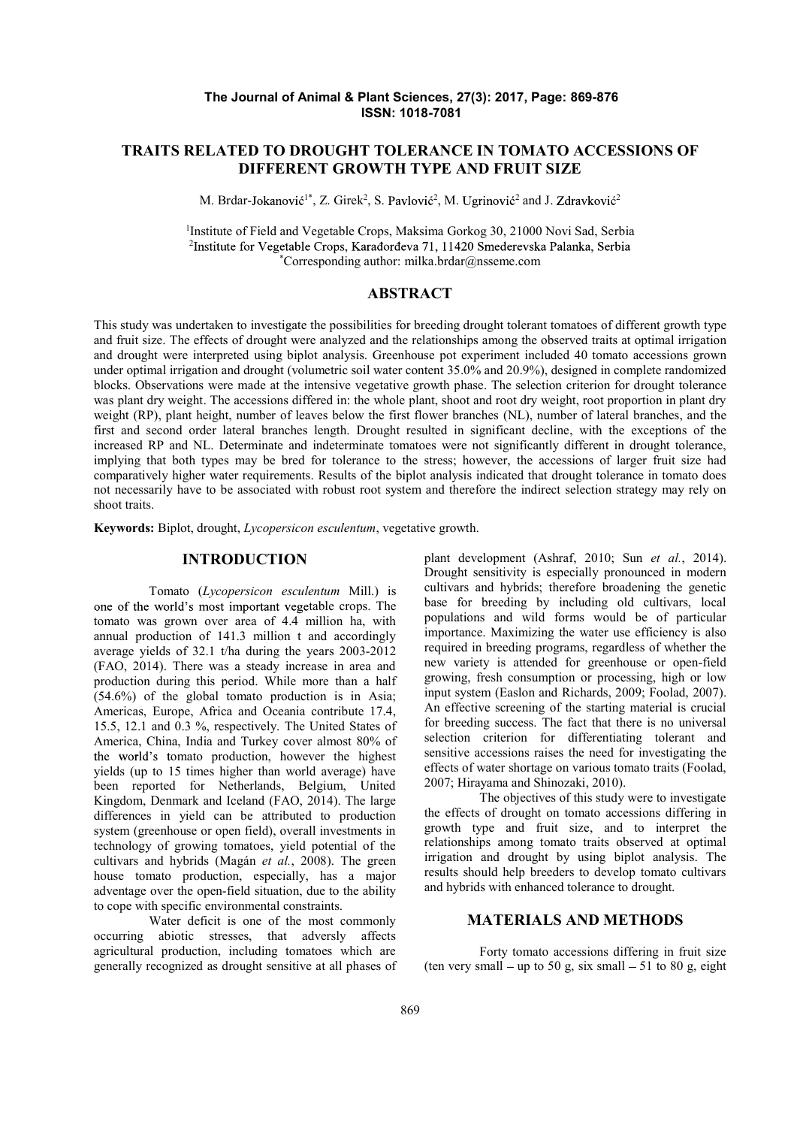### The Journal of Animal & Plant Sciences, 27(3): 2017, Page: 869-876 ISSN: 1018-7081

# TRAITS RELATED TO DROUGHT TOLERANCE IN TOMATO ACCESSIONS OF DIFFERENT GROWTH TYPE AND FRUIT SIZE

M. Brdar-Jokanović<sup>1\*</sup>, Z. Girek<sup>2</sup>, S. Pavlović<sup>2</sup>, M. Ugrinović<sup>2</sup> and J. Zdravković<sup>2</sup>

<sup>1</sup>Institute of Field and Vegetable Crops, Maksima Gorkog 30, 21000 Novi Sad, Serbia <sup>2</sup>Institute for Vegetable Crops, Karadordeva 71, 11420 Smederayska Palanka, Serbia \*Corresponding author: milka.brdar@nsseme.com

# ABSTRACT

This study was undertaken to investigate the possibilities for breeding drought tolerant tomatoes of different growth type and fruit size. The effects of drought were analyzed and the relationships among the observed traits at optimal irrigation and drought were interpreted using biplot analysis. Greenhouse pot experiment included 40 tomato accessions grown under optimal irrigation and drought (volumetric soil water content 35.0% and 20.9%), designed in complete randomized blocks. Observations were made at the intensive vegetative growth phase. The selection criterion for drought tolerance was plant dry weight. The accessions differed in: the whole plant, shoot and root dry weight, root proportion in plant dry weight (RP), plant height, number of leaves below the first flower branches (NL), number of lateral branches, and the first and second order lateral branches length. Drought resulted in significant decline, with the exceptions of the increased RP and NL. Determinate and indeterminate tomatoes were not significantly different in drought tolerance, implying that both types may be bred for tolerance to the stress; however, the accessions of larger fruit size had comparatively higher water requirements. Results of the biplot analysis indicated that drought tolerance in tomato does not necessarily have to be associated with robust root system and therefore the indirect selection strategy may rely on shoot traits.

Keywords: Biplot, drought, Lycopersicon esculentum, vegetative growth.

### INTRODUCTION

Tomato (Lycopersicon esculentum Mill.) is one of the world's most important vegetable crops. The tomato was grown over area of 4.4 million ha, with annual production of 141.3 million t and accordingly average yields of 32.1 t/ha during the years 2003-2012 (FAO, 2014). There was a steady increase in area and production during this period. While more than a half (54.6%) of the global tomato production is in Asia; Americas, Europe, Africa and Oceania contribute 17.4, 15.5, 12.1 and 0.3 %, respectively. The United States of America, China, India and Turkey cover almost 80% of the world's tomato production, however the highest yields (up to 15 times higher than world average) have been reported for Netherlands, Belgium, United Kingdom, Denmark and Iceland (FAO, 2014). The large differences in yield can be attributed to production system (greenhouse or open field), overall investments in technology of growing tomatoes, yield potential of the cultivars and hybrids (Magán et al., 2008). The green house tomato production, especially, has a major adventage over the open-field situation, due to the ability to cope with specific environmental constraints.

Water deficit is one of the most commonly occurring abiotic stresses, that adversly affects agricultural production, including tomatoes which are generally recognized as drought sensitive at all phases of plant development (Ashraf, 2010; Sun et al., 2014). Drought sensitivity is especially pronounced in modern cultivars and hybrids; therefore broadening the genetic base for breeding by including old cultivars, local populations and wild forms would be of particular importance. Maximizing the water use efficiency is also required in breeding programs, regardless of whether the new variety is attended for greenhouse or open-field growing, fresh consumption or processing, high or low input system (Easlon and Richards, 2009; Foolad, 2007). An effective screening of the starting material is crucial for breeding success. The fact that there is no universal selection criterion for differentiating tolerant and sensitive accessions raises the need for investigating the effects of water shortage on various tomato traits (Foolad, 2007; Hirayama and Shinozaki, 2010).

The objectives of this study were to investigate the effects of drought on tomato accessions differing in growth type and fruit size, and to interpret the relationships among tomato traits observed at optimal irrigation and drought by using biplot analysis. The results should help breeders to develop tomato cultivars and hybrids with enhanced tolerance to drought.

## MATERIALS AND METHODS

Forty tomato accessions differing in fruit size (ten very small – up to 50 g, six small – 51 to 80 g, eight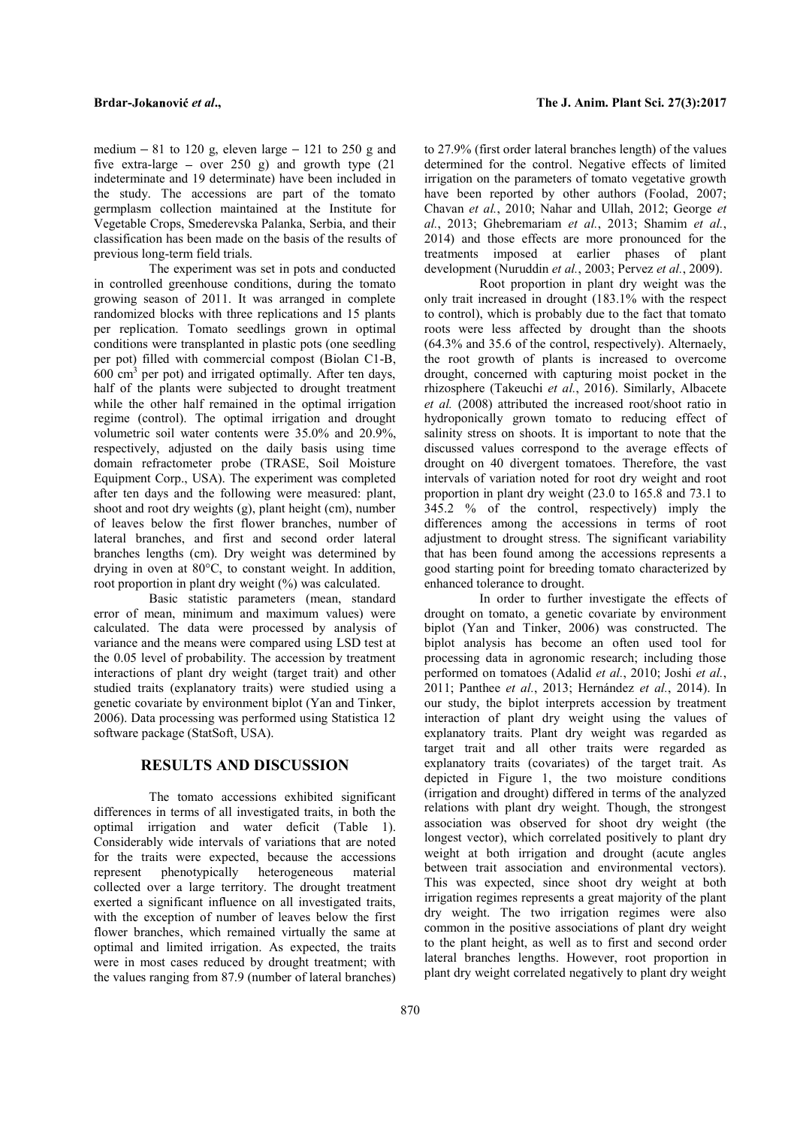medium  $-81$  to 120 g, eleven large  $-121$  to 250 g and five extra-large  $-$  over 250 g) and growth type (21 indeterminate and 19 determinate) have been included in the study. The accessions are part of the tomato germplasm collection maintained at the Institute for classification has been made on the basis of the results of previous long-term field trials.

The experiment was set in pots and conducted in controlled greenhouse conditions, during the tomato growing season of 2011. It was arranged in complete randomized blocks with three replications and 15 plants per replication. Tomato seedlings grown in optimal conditions were transplanted in plastic pots (one seedling per pot) filled with commercial compost (Biolan C1-B, 600 cm<sup>3</sup> per pot) and irrigated optimally. After ten days, drought, conce half of the plants were subjected to drought treatment while the other half remained in the optimal irrigation regime (control). The optimal irrigation and drought volumetric soil water contents were 35.0% and 20.9%, respectively, adjusted on the daily basis using time domain refractometer probe (TRASE, Soil Moisture Equipment Corp., USA). The experiment was completed after ten days and the following were measured: plant, shoot and root dry weights (g), plant height (cm), number of leaves below the first flower branches, number of lateral branches, and first and second order lateral branches lengths (cm). Dry weight was determined by drying in oven at 80°C, to constant weight. In addition, root proportion in plant dry weight (%) was calculated.

Basic statistic parameters (mean, standard error of mean, minimum and maximum values) were calculated. The data were processed by analysis of variance and the means were compared using LSD test at the 0.05 level of probability. The accession by treatment interactions of plant dry weight (target trait) and other performed on tomatoes (Adalid et al., 2010; Joshi et al., studied traits (explanatory traits) were studied using a genetic covariate by environment biplot (Yan and Tinker, 2006). Data processing was performed using Statistica 12 software package (StatSoft, USA).

### RESULTS AND DISCUSSION

The tomato accessions exhibited significant differences in terms of all investigated traits, in both the optimal irrigation and water deficit (Table 1). Considerably wide intervals of variations that are noted for the traits were expected, because the accessions represent phenotypically heterogeneous material collected over a large territory. The drought treatment exerted a significant influence on all investigated traits, with the exception of number of leaves below the first flower branches, which remained virtually the same at optimal and limited irrigation. As expected, the traits were in most cases reduced by drought treatment; with the values ranging from 87.9 (number of lateral branches)

Vegetable Crops, Smederevska Palanka, Serbia, and their al., 2013; Ghebremariam et al., 2013; Shamim et al., to 27.9% (first order lateral branches length) of the values determined for the control. Negative effects of limited irrigation on the parameters of tomato vegetative growth have been reported by other authors (Foolad, 2007; Chavan et al., 2010; Nahar and Ullah, 2012; George et 2014) and those effects are more pronounced for the treatments imposed at earlier phases of plant development (Nuruddin et al., 2003; Pervez et al., 2009).

Root proportion in plant dry weight was the only trait increased in drought (183.1% with the respect to control), which is probably due to the fact that tomato roots were less affected by drought than the shoots (64.3% and 35.6 of the control, respectively). Alternaely, the root growth of plants is increased to overcome drought, concerned with capturing moist pocket in the rhizosphere (Takeuchi et al., 2016). Similarly, Albacete et al. (2008) attributed the increased root/shoot ratio in hydroponically grown tomato to reducing effect of salinity stress on shoots. It is important to note that the discussed values correspond to the average effects of drought on 40 divergent tomatoes. Therefore, the vast intervals of variation noted for root dry weight and root proportion in plant dry weight (23.0 to 165.8 and 73.1 to 345.2 % of the control, respectively) imply the differences among the accessions in terms of root adjustment to drought stress. The significant variability that has been found among the accessions represents a good starting point for breeding tomato characterized by enhanced tolerance to drought.

In order to further investigate the effects of drought on tomato, a genetic covariate by environment biplot (Yan and Tinker, 2006) was constructed. The biplot analysis has become an often used tool for processing data in agronomic research; including those 2011; Panthee et al., 2013; Hernández et al., 2014). In our study, the biplot interprets accession by treatment interaction of plant dry weight using the values of explanatory traits. Plant dry weight was regarded as target trait and all other traits were regarded as explanatory traits (covariates) of the target trait. As depicted in Figure 1, the two moisture conditions (irrigation and drought) differed in terms of the analyzed relations with plant dry weight. Though, the strongest association was observed for shoot dry weight (the longest vector), which correlated positively to plant dry weight at both irrigation and drought (acute angles between trait association and environmental vectors). This was expected, since shoot dry weight at both irrigation regimes represents a great majority of the plant dry weight. The two irrigation regimes were also common in the positive associations of plant dry weight to the plant height, as well as to first and second order lateral branches lengths. However, root proportion in plant dry weight correlated negatively to plant dry weight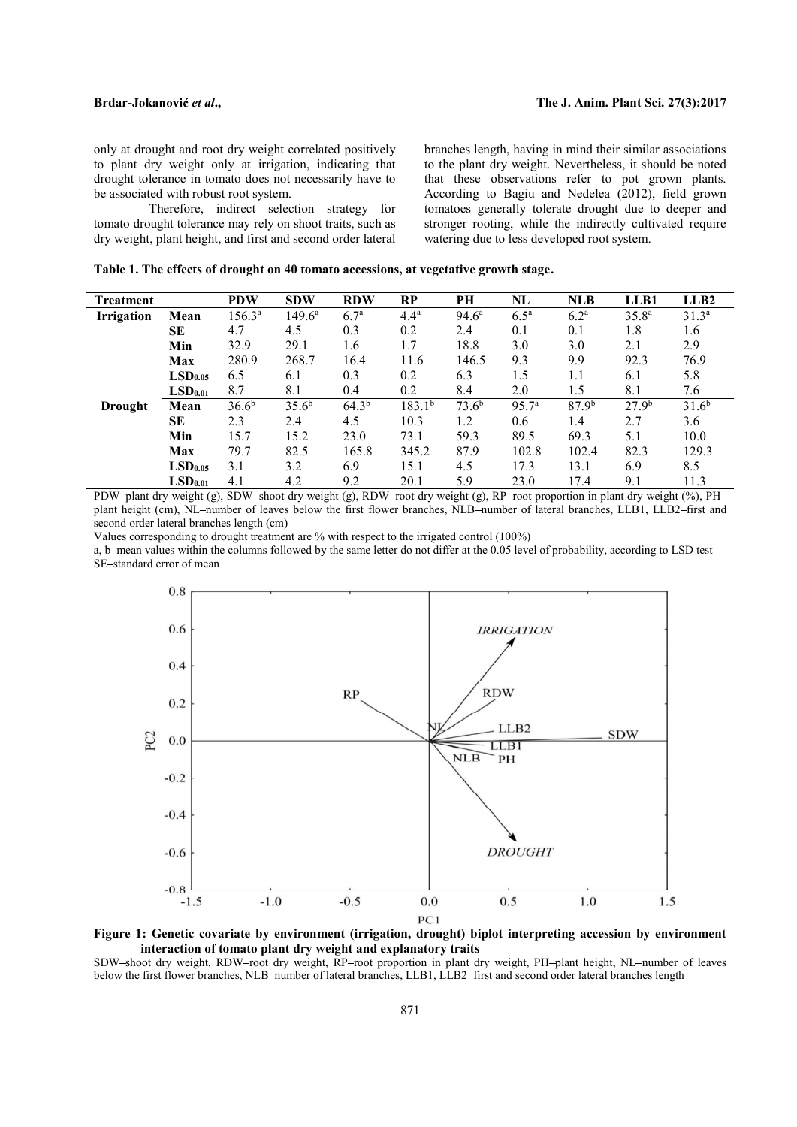only at drought and root dry weight correlated positively to plant dry weight only at irrigation, indicating that drought tolerance in tomato does not necessarily have to be associated with robust root system.

Therefore, indirect selection strategy for tomato drought tolerance may rely on shoot traits, such as dry weight, plant height, and first and second order lateral branches length, having in mind their similar associations to the plant dry weight. Nevertheless, it should be noted that these observations refer to pot grown plants. According to Bagiu and Nedelea (2012), field grown tomatoes generally tolerate drought due to deeper and stronger rooting, while the indirectly cultivated require watering due to less developed root system.

|  |  | Table 1. The effects of drought on 40 tomato accessions, at vegetative growth stage. |  |  |  |
|--|--|--------------------------------------------------------------------------------------|--|--|--|
|--|--|--------------------------------------------------------------------------------------|--|--|--|

| Treatment      |                     | <b>PDW</b>        | <b>SDW</b>        | <b>RDW</b>       | RP               | PH                | NL                 | <b>NLB</b>        | LLB1              | LLB2              |
|----------------|---------------------|-------------------|-------------------|------------------|------------------|-------------------|--------------------|-------------------|-------------------|-------------------|
| Irrigation     | Mean                | $156.3^{\circ}$   | $149.6^{\circ}$   | 6.7 <sup>a</sup> | 4.4 <sup>a</sup> | $94.6^{\circ}$    | $6.5^{\mathrm{a}}$ | 6.2 <sup>a</sup>  | $35.8^{a}$        | 31.3 <sup>a</sup> |
|                | <b>SE</b>           | 4.7               | 4.5               | 0.3              | 0.2              | 2.4               | 0.1                | 0.1               | 1.8               | 1.6               |
|                | Min                 | 32.9              | 29.1              | 1.6              | 1.7              | 18.8              | 3.0                | 3.0               | 2.1               | 2.9               |
|                | <b>Max</b>          | 280.9             | 268.7             | 16.4             | 11.6             | 146.5             | 9.3                | 9.9               | 92.3              | 76.9              |
|                | LSD <sub>0.05</sub> | 6.5               | 6.1               | 0.3              | 0.2              | 6.3               | 1.5                | 1.1               | 6.1               | 5.8               |
|                | LSD <sub>0.01</sub> | 8.7               | 8.1               | 0.4              | 0.2              | 8.4               | 2.0                | 1.5               | 8.1               | 7.6               |
| <b>Drought</b> | Mean                | 36.6 <sup>b</sup> | 35.6 <sup>b</sup> | $64.3^{b}$       | $183.1^{b}$      | 73.6 <sup>b</sup> | 95.7 <sup>a</sup>  | 87.9 <sup>b</sup> | 27.9 <sup>b</sup> | 31.6 <sup>b</sup> |
|                | <b>SE</b>           | 2.3               | 2.4               | 4.5              | 10.3             | 1.2               | 0.6                | 1.4               | 2.7               | 3.6               |
|                | Min                 | 15.7              | 15.2              | 23.0             | 73.1             | 59.3              | 89.5               | 69.3              | 5.1               | 10.0              |
|                | Max                 | 79.7              | 82.5              | 165.8            | 345.2            | 87.9              | 102.8              | 102.4             | 82.3              | 129.3             |
|                | LSD <sub>0.05</sub> | 3.1               | 3.2               | 6.9              | 15.1             | 4.5               | 17.3               | 13.1              | 6.9               | 8.5               |
|                | LSD <sub>0.01</sub> | 4.1               | 4.2               | 9.2              | 20.1             | 5.9               | 23.0               | 17.4              | 9.1               | 11.3              |

PDW-plant dry weight (g), SDW-shoot dry weight (g), RDW-root dry weight (g), RP-root proportion in plant dry weight  $\frac{6}{9}$ , PHplant height (cm), NL-number of leaves below the first flower branches, NLB-number of lateral branches, LLB1, LLB2-first and second order lateral branches length (cm)

Values corresponding to drought treatment are % with respect to the irrigated control (100%)

a, b mean values within the columns followed by the same letter do not differ at the 0.05 level of probability, according to LSD test SE-standard error of mean





SDW-shoot dry weight, RDW-root dry weight, RP-root proportion in plant dry weight, PH-plant height, NL-number of leaves below the first flower branches, NLB-number of lateral branches, LLB1, LLB2-first and second order lateral branches length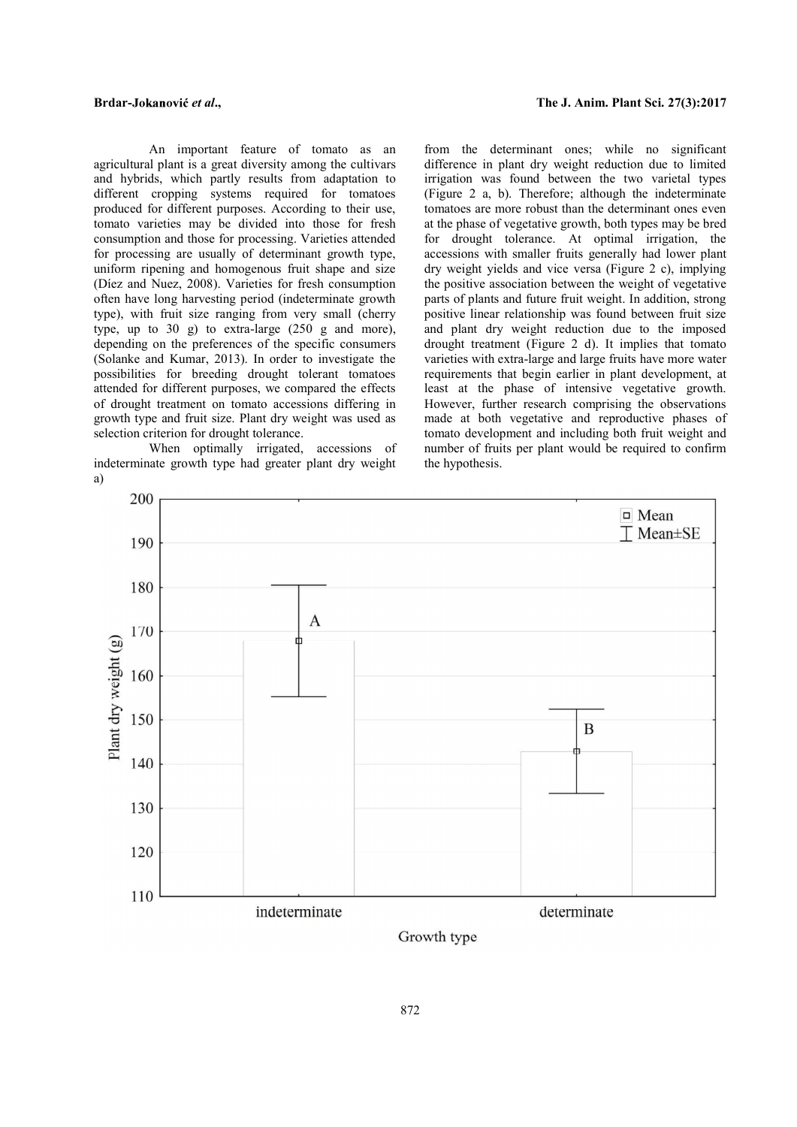An important feature of tomato as an agricultural plant is a great diversity among the cultivars and hybrids, which partly results from adaptation to different cropping systems required for tomatoes produced for different purposes. According to their use, tomato varieties may be divided into those for fresh consumption and those for processing. Varieties attended for processing are usually of determinant growth type, uniform ripening and homogenous fruit shape and size (Díez and Nuez, 2008). Varieties for fresh consumption often have long harvesting period (indeterminate growth type), with fruit size ranging from very small (cherry type, up to 30 g) to extra-large (250 g and more), depending on the preferences of the specific consumers (Solanke and Kumar, 2013). In order to investigate the possibilities for breeding drought tolerant tomatoes attended for different purposes, we compared the effects of drought treatment on tomato accessions differing in growth type and fruit size. Plant dry weight was used as selection criterion for drought tolerance.

When optimally irrigated, accessions of indeterminate growth type had greater plant dry weight a)

from the determinant ones; while no significant difference in plant dry weight reduction due to limited irrigation was found between the two varietal types (Figure 2 a, b). Therefore; although the indeterminate tomatoes are more robust than the determinant ones even at the phase of vegetative growth, both types may be bred for drought tolerance. At optimal irrigation, the accessions with smaller fruits generally had lower plant dry weight yields and vice versa (Figure 2 c), implying the positive association between the weight of vegetative parts of plants and future fruit weight. In addition, strong positive linear relationship was found between fruit size and plant dry weight reduction due to the imposed drought treatment (Figure 2 d). It implies that tomato varieties with extra-large and large fruits have more water requirements that begin earlier in plant development, at least at the phase of intensive vegetative growth. However, further research comprising the observations made at both vegetative and reproductive phases of tomato development and including both fruit weight and number of fruits per plant would be required to confirm the hypothesis.



Growth type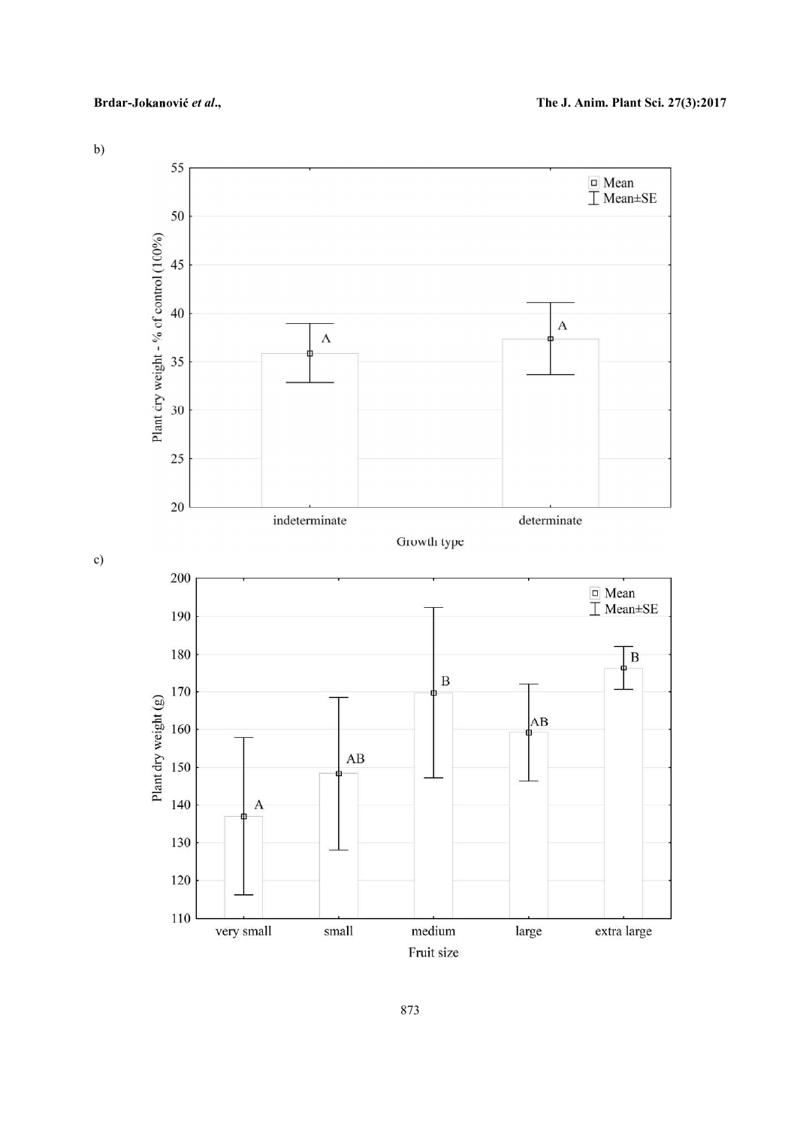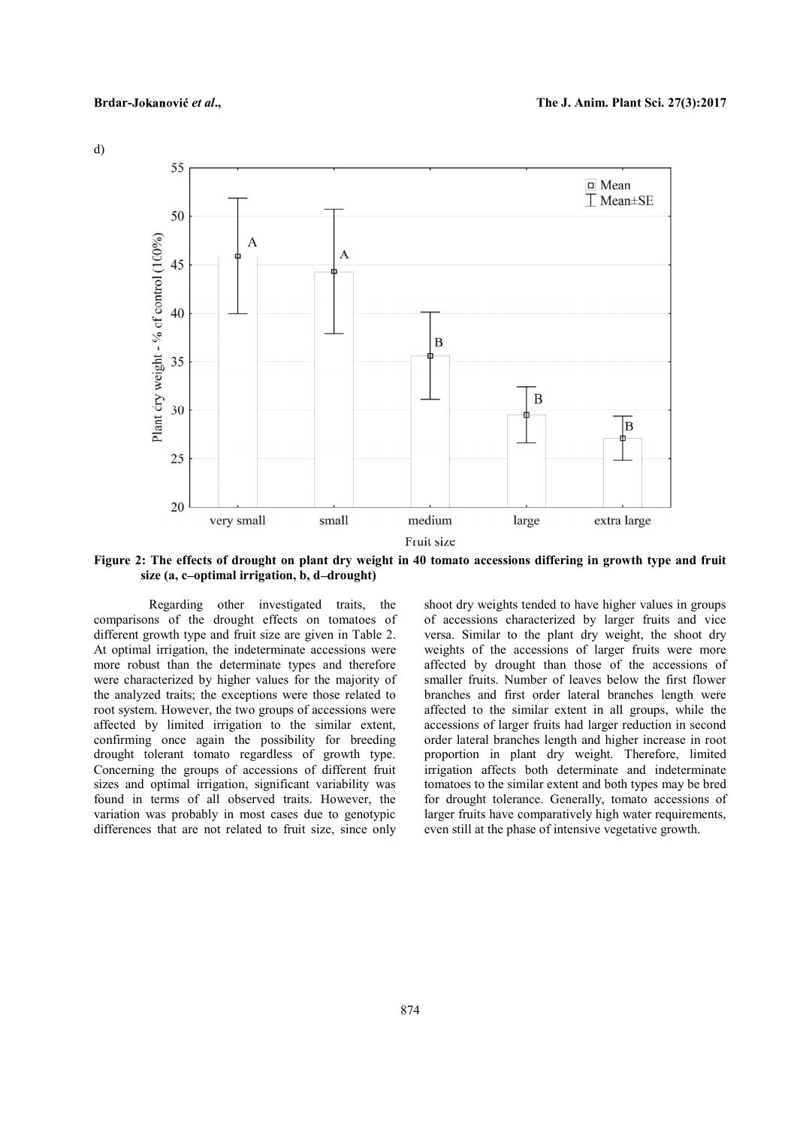d)



Figure 2: The effects of drought on plant dry weight in 40 tomato accessions differing in growth type and fruit size  $(a, c$ -optimal irrigation, b, d-drought)

Regarding other investigated traits, the comparisons of the drought effects on tomatoes of different growth type and fruit size are given in Table 2. At optimal irrigation, the indeterminate accessions were more robust than the determinate types and therefore were characterized by higher values for the majority of the analyzed traits; the exceptions were those related to root system. However, the two groups of accessions were affected by limited irrigation to the similar extent, confirming once again the possibility for breeding drought tolerant tomato regardless of growth type. Concerning the groups of accessions of different fruit sizes and optimal irrigation, significant variability was found in terms of all observed traits. However, the variation was probably in most cases due to genotypic differences that are not related to fruit size, since only shoot dry weights tended to have higher values in groups of accessions characterized by larger fruits and vice versa. Similar to the plant dry weight, the shoot dry weights of the accessions of larger fruits were more affected by drought than those of the accessions of smaller fruits. Number of leaves below the first flower branches and first order lateral branches length were affected to the similar extent in all groups, while the accessions of larger fruits had larger reduction in second order lateral branches length and higher increase in root proportion in plant dry weight. Therefore, limited irrigation affects both determinate and indeterminate tomatoes to the similar extent and both types may be bred for drought tolerance. Generally, tomato accessions of larger fruits have comparatively high water requirements, even still at the phase of intensive vegetative growth.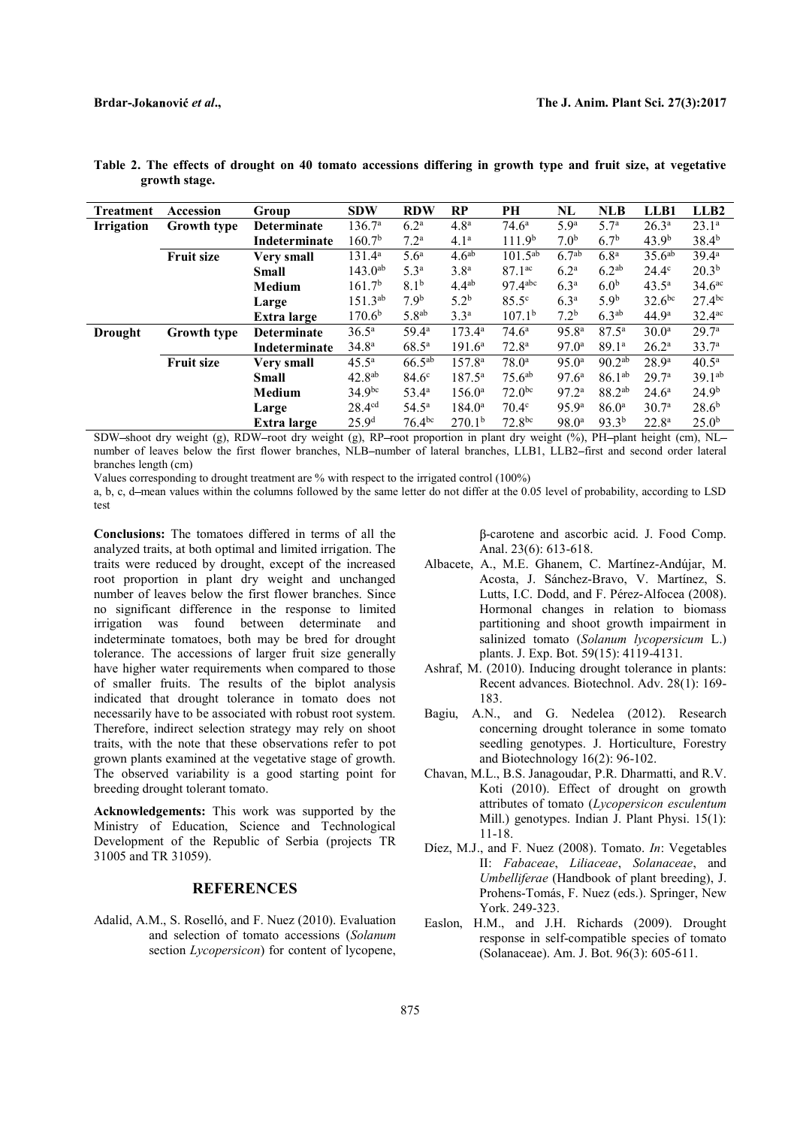| Treatment      | Accession          | Group              | <b>SDW</b>         | <b>RDW</b>        | RP                 | PH                    | NL                | <b>NLB</b>         | LLB1               | LLB <sub>2</sub>     |  |
|----------------|--------------------|--------------------|--------------------|-------------------|--------------------|-----------------------|-------------------|--------------------|--------------------|----------------------|--|
| Irrigation     | <b>Growth type</b> | <b>Determinate</b> | 136.7 <sup>a</sup> | 6.2 <sup>a</sup>  | 4.8 <sup>a</sup>   | $74.6^{\rm a}$        | 5.9 <sup>a</sup>  | 5.7 <sup>a</sup>   | $26.3^{a}$         | $23.1^{\circ}$       |  |
|                |                    | Indeterminate      | 160.7 <sup>b</sup> | 7.2 <sup>a</sup>  | $4.1^{\circ}$      | 111.9 <sup>b</sup>    | 7.0 <sup>b</sup>  | 6.7 <sup>b</sup>   | 43.9 <sup>b</sup>  | $38.4^{b}$           |  |
|                | <b>Fruit size</b>  | <b>Very small</b>  | $131.4^a$          | 5.6 <sup>a</sup>  | 4.6 <sup>ab</sup>  | $101.5^{ab}$          | 6.7 <sup>ab</sup> | 6.8 <sup>a</sup>   | 35.6 <sup>ab</sup> | $39.4^{\rm a}$       |  |
|                |                    | Small              | $143.0^{ab}$       | 5.3 <sup>a</sup>  | 3.8 <sup>a</sup>   | $87.1^{ac}$           | 6.2 <sup>a</sup>  | $6.2^{ab}$         | $24.4^\circ$       | 20.3 <sup>b</sup>    |  |
|                |                    | <b>Medium</b>      | 161.7 <sup>b</sup> | 8.1 <sup>b</sup>  | $4.4^{ab}$         | $97.4$ <sup>abc</sup> | 6.3 <sup>a</sup>  | 6.0 <sup>b</sup>   | $43.5^{\circ}$     | 34.6 <sup>ac</sup>   |  |
|                |                    | Large              | $151.3^{ab}$       | 7.9 <sup>b</sup>  | $5.2^{\rm b}$      | $85.5^\circ$          | 6.3 <sup>a</sup>  | 5.9 <sup>b</sup>   | $32.6^{bc}$        | $27.4^{bc}$          |  |
|                |                    | Extra large        | 170.6 <sup>b</sup> | 5.8 <sup>ab</sup> | 3.3 <sup>a</sup>   | 107.1 <sup>b</sup>    | 7.2 <sup>b</sup>  | 6.3 <sup>ab</sup>  | 44.9 <sup>a</sup>  | $32.4$ <sup>ac</sup> |  |
| <b>Drought</b> | <b>Growth type</b> | <b>Determinate</b> | $36.5^{\rm a}$     | $59.4^{\circ}$    | $173.4^{\circ}$    | $74.6^{\rm a}$        | 95.8 <sup>a</sup> | $87.5^{\rm a}$     | $30.0^{\rm a}$     | 29.7 <sup>a</sup>    |  |
|                |                    | Indeterminate      | 34.8 <sup>a</sup>  | $68.5^{\rm a}$    | $191.6^a$          | $72.8^{\rm a}$        | 97.0 <sup>a</sup> | 89.1 <sup>a</sup>  | $26.2^{\rm a}$     | 33.7 <sup>a</sup>    |  |
|                | <b>Fruit size</b>  | <b>Very small</b>  | $45.5^{\rm a}$     | $66.5^{ab}$       | 157.8 <sup>a</sup> | $78.0^{\circ}$        | $95.0^{\circ}$    | $90.2^{ab}$        | $28.9^{\rm a}$     | $40.5^{\rm a}$       |  |
|                |                    | Small              | $42.8^{ab}$        | $84.6^\circ$      | $187.5^{\circ}$    | $75.6^{ab}$           | 97.6 <sup>a</sup> | $86.1^{ab}$        | 29.7 <sup>a</sup>  | $39.1^{ab}$          |  |
|                |                    | <b>Medium</b>      | $34.9^{bc}$        | $53.4^{\circ}$    | $156.0^{\circ}$    | $72.0^{bc}$           | 97.2 <sup>a</sup> | 88.2 <sup>ab</sup> | $24.6^{\circ}$     | 24.9 <sup>b</sup>    |  |
|                |                    | Large              | 28.4 <sup>cd</sup> | $54.5^{\rm a}$    | $184.0^{\circ}$    | $70.4^\circ$          | 95.9 <sup>a</sup> | $86.0^{\circ}$     | 30.7 <sup>a</sup>  | $28.6^{b}$           |  |
|                |                    | Extra large        | 25.9 <sup>d</sup>  | $76.4^{bc}$       | 270.1 <sup>b</sup> | 72.8 <sup>bc</sup>    | 98.0 <sup>a</sup> | $93.3^{b}$         | $22.8^{\rm a}$     | 25.0 <sup>b</sup>    |  |

|  |               |  |  | Table 2. The effects of drought on 40 tomato accessions differing in growth type and fruit size, at vegetative |  |  |  |  |  |
|--|---------------|--|--|----------------------------------------------------------------------------------------------------------------|--|--|--|--|--|
|  | growth stage. |  |  |                                                                                                                |  |  |  |  |  |

SDW-shoot dry weight (g), RDW-root dry weight (g), RP-root proportion in plant dry weight (%), PH-plant height (cm), NLnumber of leaves below the first flower branches, NLB-number of lateral branches, LLB1, LLB2-first and second order lateral branches length (cm)

Values corresponding to drought treatment are % with respect to the irrigated control (100%)

a, b, c, d–mean values within the columns followed by the same letter do not differ at the 0.05 level of probability, according to LSD test

Conclusions: The tomatoes differed in terms of all the analyzed traits, at both optimal and limited irrigation. The traits were reduced by drought, except of the increased root proportion in plant dry weight and unchanged number of leaves below the first flower branches. Since no significant difference in the response to limited irrigation was found between determinate and indeterminate tomatoes, both may be bred for drought tolerance. The accessions of larger fruit size generally have higher water requirements when compared to those of smaller fruits. The results of the biplot analysis indicated that drought tolerance in tomato does not necessarily have to be associated with robust root system. Bagiu. Therefore, indirect selection strategy may rely on shoot traits, with the note that these observations refer to pot grown plants examined at the vegetative stage of growth. The observed variability is a good starting point for breeding drought tolerant tomato.

Acknowledgements: This work was supported by the Ministry of Education, Science and Technological Development of the Republic of Serbia (projects TR 31005 and TR 31059).

## REFERENCES

Adalid, A.M., S. Roselló, and F. Nuez (2010). Evaluation and selection of tomato accessions (Solanum section *Lycopersicon*) for content of lycopene,

-carotene and ascorbic acid. J. Food Comp. Anal. 23(6): 613-618.

- Albacete, A., M.E. Ghanem, C. Martínez-Andújar, M. Acosta, J. Sánchez-Bravo, V. Martínez, S. Lutts, I.C. Dodd, and F. Pérez-Alfocea (2008). Hormonal changes in relation to biomass partitioning and shoot growth impairment in salinized tomato (Solanum lycopersicum L.) plants. J. Exp. Bot. 59(15): 4119-4131.
- Ashraf, M. (2010). Inducing drought tolerance in plants: Recent advances. Biotechnol. Adv. 28(1): 169- 183.
- A.N., and G. Nedelea (2012). Research concerning drought tolerance in some tomato seedling genotypes. J. Horticulture, Forestry and Biotechnology 16(2): 96-102.
- Chavan, M.L., B.S. Janagoudar, P.R. Dharmatti, and R.V. Koti (2010). Effect of drought on growth attributes of tomato (Lycopersicon esculentum Mill.) genotypes. Indian J. Plant Physi. 15(1): 11-18.
- Díez, M.J., and F. Nuez (2008). Tomato. In: Vegetables II: Fabaceae, Liliaceae, Solanaceae, and Umbelliferae (Handbook of plant breeding), J. Prohens-Tomás, F. Nuez (eds.). Springer, New York. 249-323.
- H.M., and J.H. Richards (2009). Drought response in self-compatible species of tomato (Solanaceae). Am. J. Bot. 96(3): 605-611.